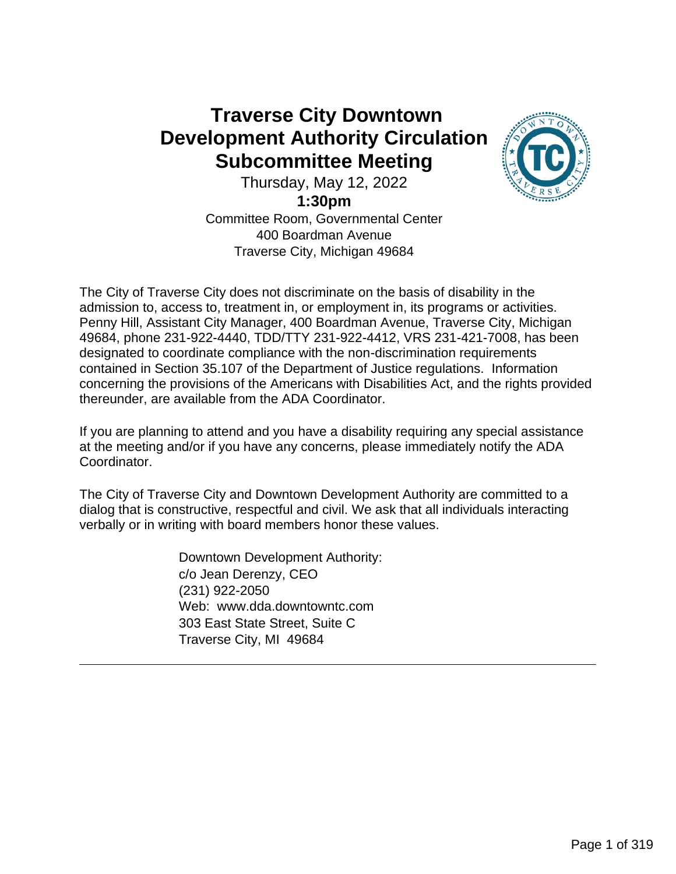**Traverse City Downtown Development Authority Circulation Subcommittee Meeting**



Thursday, May 12, 2022

**1:30pm**

Committee Room, Governmental Center 400 Boardman Avenue Traverse City, Michigan 49684

The City of Traverse City does not discriminate on the basis of disability in the admission to, access to, treatment in, or employment in, its programs or activities. Penny Hill, Assistant City Manager, 400 Boardman Avenue, Traverse City, Michigan 49684, phone 231-922-4440, TDD/TTY 231-922-4412, VRS 231-421-7008, has been designated to coordinate compliance with the non-discrimination requirements contained in Section 35.107 of the Department of Justice regulations. Information concerning the provisions of the Americans with Disabilities Act, and the rights provided thereunder, are available from the ADA Coordinator.

If you are planning to attend and you have a disability requiring any special assistance at the meeting and/or if you have any concerns, please immediately notify the ADA Coordinator.

The City of Traverse City and Downtown Development Authority are committed to a dialog that is constructive, respectful and civil. We ask that all individuals interacting verbally or in writing with board members honor these values.

> Downtown Development Authority: c/o Jean Derenzy, CEO (231) 922-2050 Web: www.dda.downtowntc.com 303 East State Street, Suite C Traverse City, MI 49684